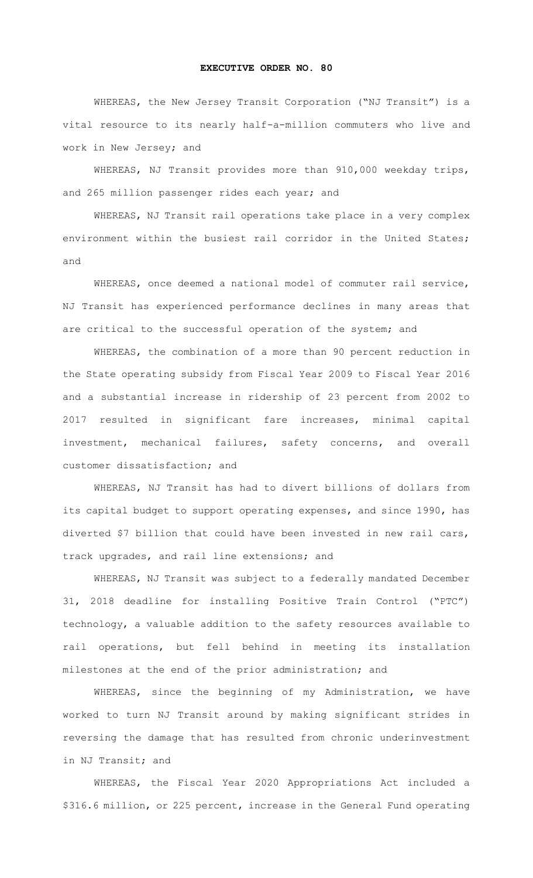## **EXECUTIVE ORDER NO. 80**

WHEREAS, the New Jersey Transit Corporation ("NJ Transit") is a vital resource to its nearly half-a-million commuters who live and work in New Jersey; and

WHEREAS, NJ Transit provides more than 910,000 weekday trips, and 265 million passenger rides each year; and

WHEREAS, NJ Transit rail operations take place in a very complex environment within the busiest rail corridor in the United States; and

WHEREAS, once deemed a national model of commuter rail service, NJ Transit has experienced performance declines in many areas that are critical to the successful operation of the system; and

WHEREAS, the combination of a more than 90 percent reduction in the State operating subsidy from Fiscal Year 2009 to Fiscal Year 2016 and a substantial increase in ridership of 23 percent from 2002 to 2017 resulted in significant fare increases, minimal capital investment, mechanical failures, safety concerns, and overall customer dissatisfaction; and

WHEREAS, NJ Transit has had to divert billions of dollars from its capital budget to support operating expenses, and since 1990, has diverted \$7 billion that could have been invested in new rail cars, track upgrades, and rail line extensions; and

WHEREAS, NJ Transit was subject to a federally mandated December 31, 2018 deadline for installing Positive Train Control ("PTC") technology, a valuable addition to the safety resources available to rail operations, but fell behind in meeting its installation milestones at the end of the prior administration; and

WHEREAS, since the beginning of my Administration, we have worked to turn NJ Transit around by making significant strides in reversing the damage that has resulted from chronic underinvestment in NJ Transit; and

WHEREAS, the Fiscal Year 2020 Appropriations Act included a \$316.6 million, or 225 percent, increase in the General Fund operating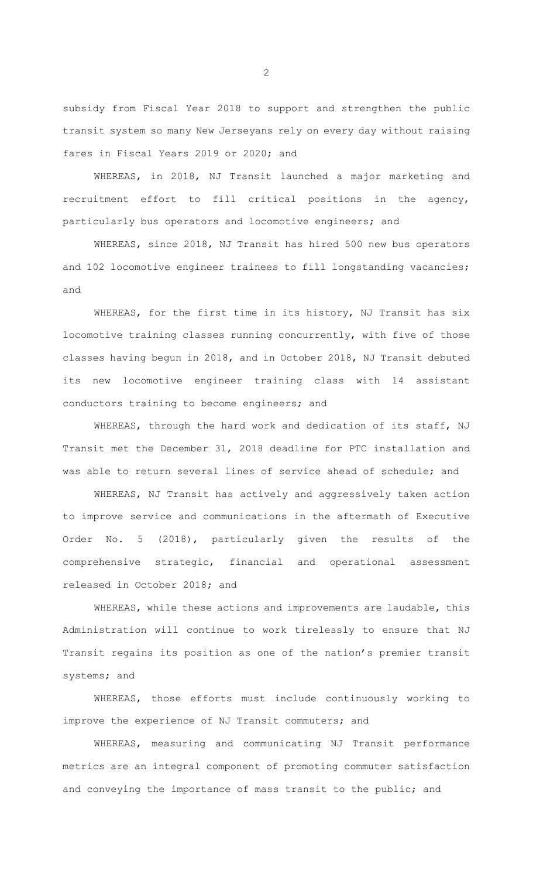subsidy from Fiscal Year 2018 to support and strengthen the public transit system so many New Jerseyans rely on every day without raising fares in Fiscal Years 2019 or 2020; and

WHEREAS, in 2018, NJ Transit launched a major marketing and recruitment effort to fill critical positions in the agency, particularly bus operators and locomotive engineers; and

WHEREAS, since 2018, NJ Transit has hired 500 new bus operators and 102 locomotive engineer trainees to fill longstanding vacancies; and

WHEREAS, for the first time in its history, NJ Transit has six locomotive training classes running concurrently, with five of those classes having begun in 2018, and in October 2018, NJ Transit debuted its new locomotive engineer training class with 14 assistant conductors training to become engineers; and

WHEREAS, through the hard work and dedication of its staff, NJ Transit met the December 31, 2018 deadline for PTC installation and was able to return several lines of service ahead of schedule; and

WHEREAS, NJ Transit has actively and aggressively taken action to improve service and communications in the aftermath of Executive Order No. 5 (2018), particularly given the results of the comprehensive strategic, financial and operational assessment released in October 2018; and

WHEREAS, while these actions and improvements are laudable, this Administration will continue to work tirelessly to ensure that NJ Transit regains its position as one of the nation's premier transit systems; and

WHEREAS, those efforts must include continuously working to improve the experience of NJ Transit commuters; and

WHEREAS, measuring and communicating NJ Transit performance metrics are an integral component of promoting commuter satisfaction and conveying the importance of mass transit to the public; and

2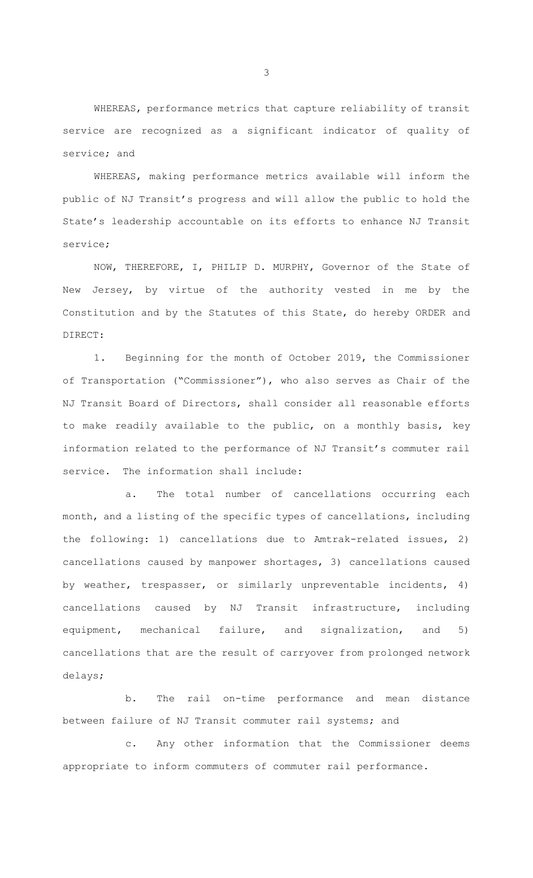WHEREAS, performance metrics that capture reliability of transit service are recognized as a significant indicator of quality of service; and

WHEREAS, making performance metrics available will inform the public of NJ Transit's progress and will allow the public to hold the State's leadership accountable on its efforts to enhance NJ Transit service;

NOW, THEREFORE, I, PHILIP D. MURPHY, Governor of the State of New Jersey, by virtue of the authority vested in me by the Constitution and by the Statutes of this State, do hereby ORDER and DIRECT:

1. Beginning for the month of October 2019, the Commissioner of Transportation ("Commissioner"), who also serves as Chair of the NJ Transit Board of Directors, shall consider all reasonable efforts to make readily available to the public, on a monthly basis, key information related to the performance of NJ Transit's commuter rail service. The information shall include:

a. The total number of cancellations occurring each month, and a listing of the specific types of cancellations, including the following: 1) cancellations due to Amtrak-related issues, 2) cancellations caused by manpower shortages, 3) cancellations caused by weather, trespasser, or similarly unpreventable incidents, 4) cancellations caused by NJ Transit infrastructure, including equipment, mechanical failure, and signalization, and 5) cancellations that are the result of carryover from prolonged network delays;

b. The rail on-time performance and mean distance between failure of NJ Transit commuter rail systems; and

c. Any other information that the Commissioner deems appropriate to inform commuters of commuter rail performance.

3